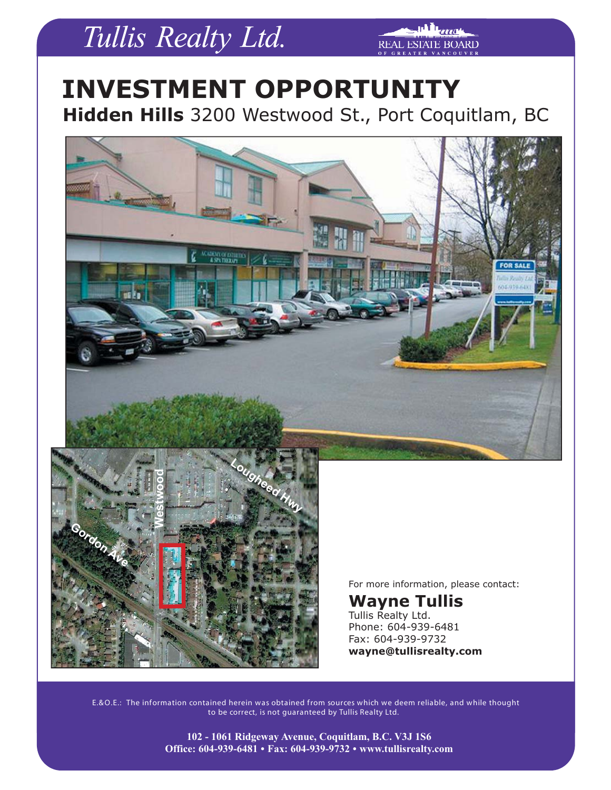# Tullis Realty Ltd.

**REAL ESTATE BOARD** 

### **INVESTMENT OPPORTUNITY Hidden Hills** 3200 Westwood St., Port Coquitlam, BC





For more information, please contact:

**Wayne Tullis** Tullis Realty Ltd. Phone: 604-939-6481 Fax: 604-939-9732 **wayne@tullisrealty.com** 

E.&O.E.: The information contained herein was obtained f rom sources which we deem reliable, and while thought to be correct, is not guaranteed by Tullis Realty Ltd.

> **102 - 1061 Ridgeway Avenue, Coquitlam, B.C. V3J 1S6 Office: 604-939-6481 . Fax: 604-939-9732 . www.tullisrealty.com**